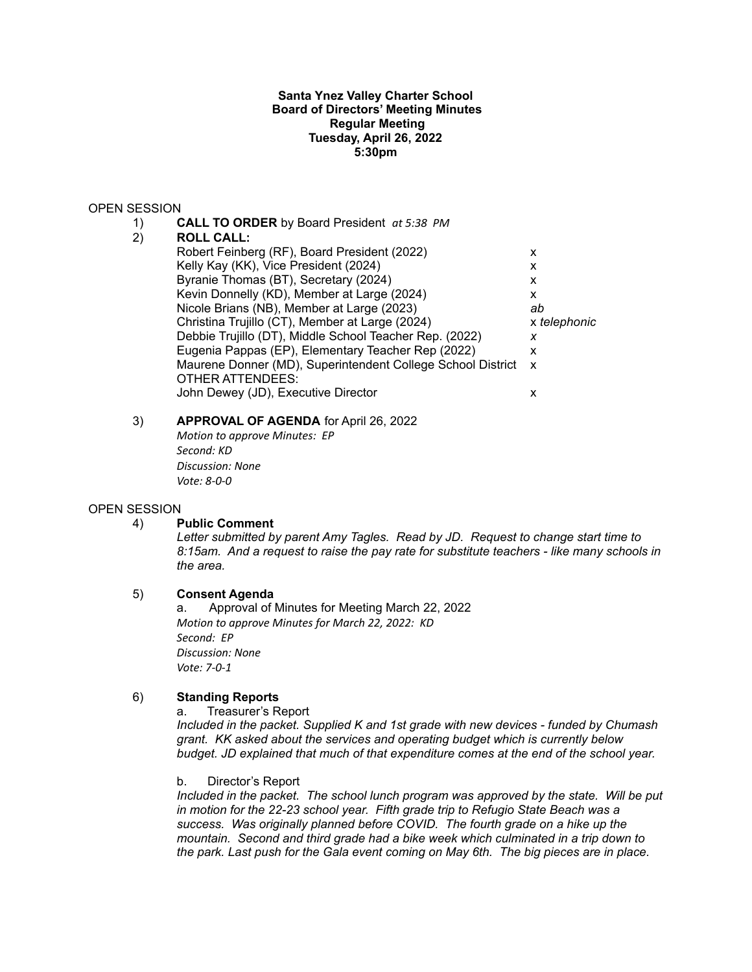## **Santa Ynez Valley Charter School Board of Directors' Meeting Minutes Regular Meeting Tuesday, April 26, 2022 5:30pm**

### OPEN SESSION

1) **CALL TO ORDER** by Board President *at 5:38 PM* 2) **ROLL CALL:** Robert Feinberg (RF), Board President (2022) X Kelly Kay (KK), Vice President (2024)  $\times$ Byranie Thomas (BT), Secretary (2024) x Kevin Donnelly (KD), Member at Large (2024) x Nicole Brians (NB), Member at Large (2023) *ab* Christina Trujillo (CT), Member at Large (2024) x *telephonic* Debbie Trujillo (DT), Middle School Teacher Rep. (2022) *x* Eugenia Pappas (EP), Elementary Teacher Rep (2022) x Maurene Donner (MD), Superintendent College School District x OTHER ATTENDEES: John Dewey (JD), Executive Director x

# 3) **APPROVAL OF AGENDA** for April 26, 2022

*Motion to approve Minutes: EP Second: KD Discussion: None Vote: 8-0-0*

#### OPEN SESSION

#### 4) **Public Comment**

*Letter submitted by parent Amy Tagles. Read by JD. Request to change start time to 8:15am. And a request to raise the pay rate for substitute teachers - like many schools in the area.*

# 5) **Consent Agenda**

a. Approval of Minutes for Meeting March 22, 2022 *Motion to approve Minutes for March 22, 2022: KD Second: EP Discussion: None Vote: 7-0-1*

# 6) **Standing Reports**

a. Treasurer's Report

*Included in the packet. Supplied K and 1st grade with new devices - funded by Chumash grant. KK asked about the services and operating budget which is currently below budget. JD explained that much of that expenditure comes at the end of the school year.*

b. Director's Report

*Included in the packet. The school lunch program was approved by the state. Will be put in motion for the 22-23 school year. Fifth grade trip to Refugio State Beach was a success. Was originally planned before COVID. The fourth grade on a hike up the mountain. Second and third grade had a bike week which culminated in a trip down to the park. Last push for the Gala event coming on May 6th. The big pieces are in place.*